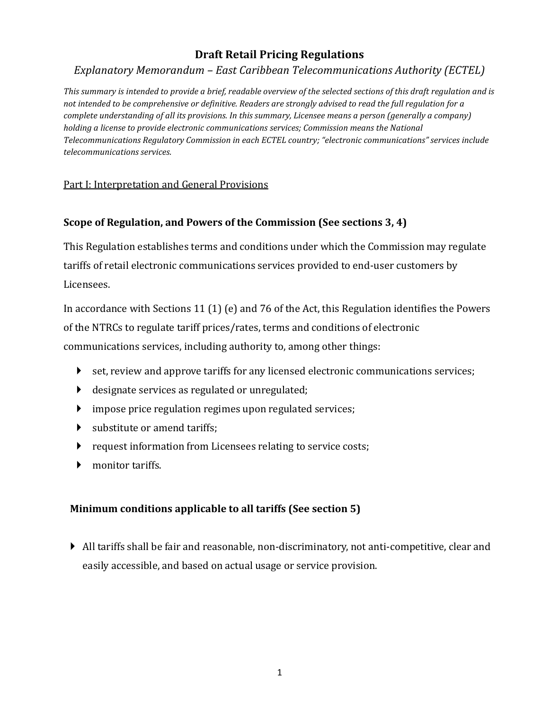# **Draft Retail Pricing Regulations**

# *Explanatory Memorandum – East Caribbean Telecommunications Authority (ECTEL)*

*This summary is intended to provide a brief, readable overview of the selected sections of this draft regulation and is not intended to be comprehensive or definitive. Readers are strongly advised to read the full regulation for a complete understanding of all its provisions. In this summary, Licensee means a person (generally a company) holding a license to provide electronic communications services; Commission means the National Telecommunications Regulatory Commission in each ECTEL country; "electronic communications" services include telecommunications services.* 

#### Part I: Interpretation and General Provisions

## **Scope of Regulation, and Powers of the Commission (See sections 3, 4)**

This Regulation establishes terms and conditions under which the Commission may regulate tariffs of retail electronic communications services provided to end-user customers by Licensees.

In accordance with Sections 11 (1) (e) and 76 of the Act, this Regulation identifies the Powers of the NTRCs to regulate tariff prices/rates, terms and conditions of electronic communications services, including authority to, among other things:

- set, review and approve tariffs for any licensed electronic communications services;
- designate services as regulated or unregulated;
- impose price regulation regimes upon regulated services;
- substitute or amend tariffs;
- **P** request information from Licensees relating to service costs;
- monitor tariffs.

#### **Minimum conditions applicable to all tariffs (See section 5)**

 All tariffs shall be fair and reasonable, non-discriminatory, not anti-competitive, clear and easily accessible, and based on actual usage or service provision.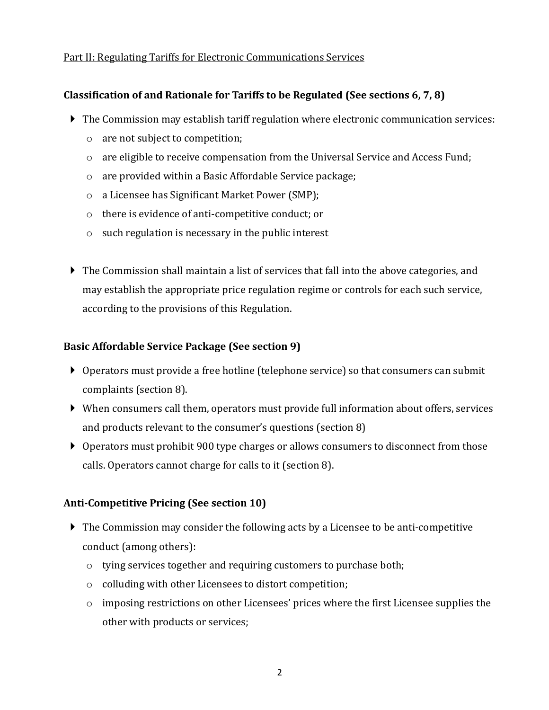#### Part II: Regulating Tariffs for Electronic Communications Services

#### **Classification of and Rationale for Tariffs to be Regulated (See sections 6, 7, 8)**

- The Commission may establish tariff regulation where electronic communication services:
	- o are not subject to competition;
	- o are eligible to receive compensation from the Universal Service and Access Fund;
	- o are provided within a Basic Affordable Service package;
	- o a Licensee has Significant Market Power (SMP);
	- o there is evidence of anti-competitive conduct; or
	- o such regulation is necessary in the public interest
- $\blacktriangleright$  The Commission shall maintain a list of services that fall into the above categories, and may establish the appropriate price regulation regime or controls for each such service, according to the provisions of this Regulation.

#### **Basic Affordable Service Package (See section 9)**

- Operators must provide a free hotline (telephone service) so that consumers can submit complaints (section 8).
- When consumers call them, operators must provide full information about offers, services and products relevant to the consumer's questions (section 8)
- Operators must prohibit 900 type charges or allows consumers to disconnect from those calls. Operators cannot charge for calls to it (section 8).

#### **Anti-Competitive Pricing (See section 10)**

- The Commission may consider the following acts by a Licensee to be anti-competitive conduct (among others):
	- o tying services together and requiring customers to purchase both;
	- o colluding with other Licensees to distort competition;
	- o imposing restrictions on other Licensees' prices where the first Licensee supplies the other with products or services;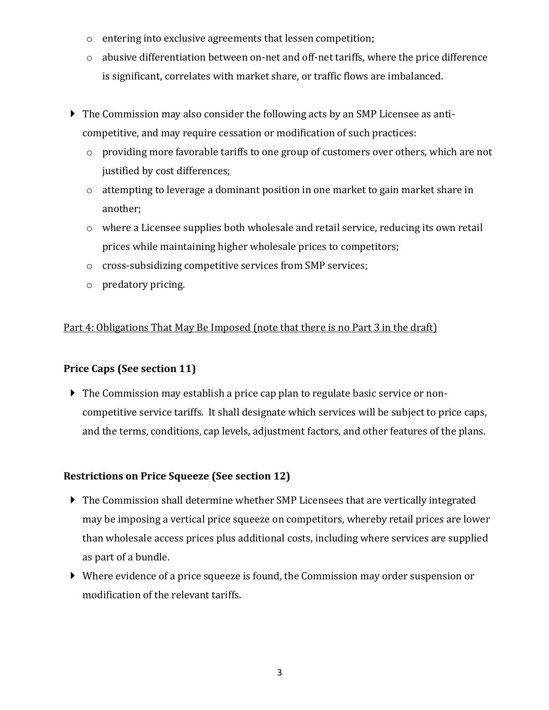- o entering into exclusive agreements that lessen competition;
- o abusive differentiation between on-net and off-net tariffs, where the price difference is significant, correlates with market share, or traffic flows are imbalanced.
- The Commission may also consider the following acts by an SMP Licensee as anticompetitive, and may require cessation or modification of such practices:
	- o providing more favorable tariffs to one group of customers over others, which are not justified by cost differences;
	- o attempting to leverage a dominant position in one market to gain market share in another;
	- o where a Licensee supplies both wholesale and retail service, reducing its own retail prices while maintaining higher wholesale prices to competitors;
	- o cross-subsidizing competitive services from SMP services;
	- o predatory pricing.

## Part 4: Obligations That May Be Imposed (note that there is no Part 3 in the draft)

## **Price Caps (See section 11)**

 The Commission may establish a price cap plan to regulate basic service or noncompetitive service tariffs. It shall designate which services will be subject to price caps, and the terms, conditions, cap levels, adjustment factors, and other features of the plans.

## **Restrictions on Price Squeeze (See section 12)**

- The Commission shall determine whether SMP Licensees that are vertically integrated may be imposing a vertical price squeeze on competitors, whereby retail prices are lower than wholesale access prices plus additional costs, including where services are supplied as part of a bundle.
- Where evidence of a price squeeze is found, the Commission may order suspension or modification of the relevant tariffs.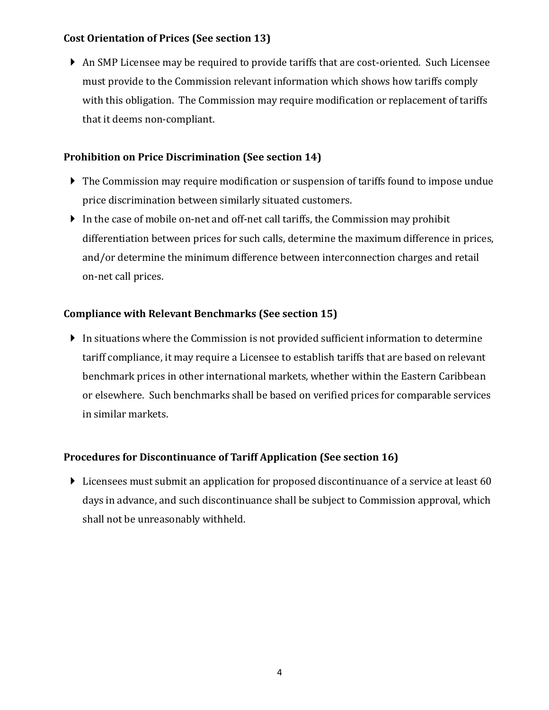## **Cost Orientation of Prices (See section 13)**

 An SMP Licensee may be required to provide tariffs that are cost-oriented. Such Licensee must provide to the Commission relevant information which shows how tariffs comply with this obligation. The Commission may require modification or replacement of tariffs that it deems non-compliant.

## **Prohibition on Price Discrimination (See section 14)**

- ▶ The Commission may require modification or suspension of tariffs found to impose undue price discrimination between similarly situated customers.
- In the case of mobile on-net and off-net call tariffs, the Commission may prohibit differentiation between prices for such calls, determine the maximum difference in prices, and/or determine the minimum difference between interconnection charges and retail on-net call prices.

# **Compliance with Relevant Benchmarks (See section 15)**

 In situations where the Commission is not provided sufficient information to determine tariff compliance, it may require a Licensee to establish tariffs that are based on relevant benchmark prices in other international markets, whether within the Eastern Caribbean or elsewhere. Such benchmarks shall be based on verified prices for comparable services in similar markets.

# **Procedures for Discontinuance of Tariff Application (See section 16)**

 Licensees must submit an application for proposed discontinuance of a service at least 60 days in advance, and such discontinuance shall be subject to Commission approval, which shall not be unreasonably withheld.